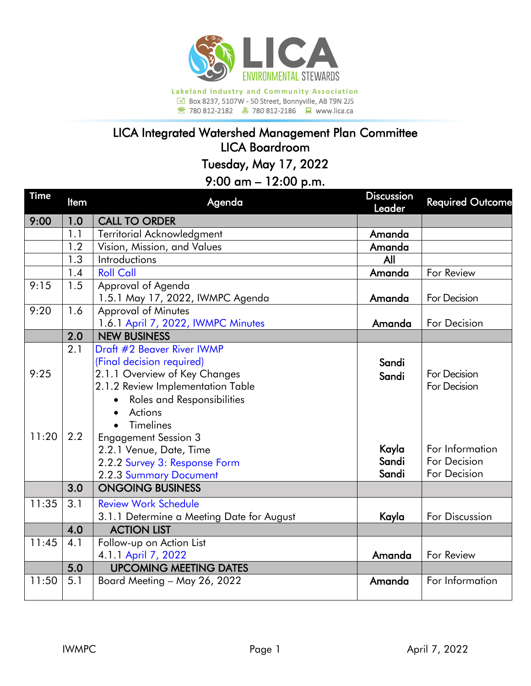

**<sup><sup>2</sup></sup> 780 812-2182 </del> 780 812-2186 ■ www.lica.ca** 

## LICA Integrated Watershed Management Plan Committee LICA Boardroom

Tuesday, May 17, 2022

## 9:00 am – 12:00 p.m.

| <b>Time</b> | <b>Item</b>      | Agenda                                    | <b>Discussion</b><br>Leader | <b>Required Outcome</b> |
|-------------|------------------|-------------------------------------------|-----------------------------|-------------------------|
| 9:00        | 1.0              | <b>CALL TO ORDER</b>                      |                             |                         |
|             | 1.1              | Territorial Acknowledgment                | Amanda                      |                         |
|             | 1.2              | Vision, Mission, and Values               | Amanda                      |                         |
|             | 1.3              | Introductions                             | All                         |                         |
|             | 1.4              | <b>Roll Call</b>                          | Amanda                      | For Review              |
| 9:15        | 1.5              | Approval of Agenda                        |                             |                         |
|             |                  | 1.5.1 May 17, 2022, IWMPC Agenda          | Amanda                      | For Decision            |
| 9:20        | 1.6              | <b>Approval of Minutes</b>                |                             |                         |
|             |                  | 1.6.1 April 7, 2022, IWMPC Minutes        | Amanda                      | For Decision            |
|             | $\overline{2.0}$ | <b>NEW BUSINESS</b>                       |                             |                         |
|             | 2.1              | Draft #2 Beaver River IWMP                |                             |                         |
|             |                  | (Final decision required)                 | Sandi                       |                         |
| 9:25        |                  | 2.1.1 Overview of Key Changes             | Sandi                       | For Decision            |
|             |                  | 2.1.2 Review Implementation Table         |                             | For Decision            |
|             |                  | Roles and Responsibilities                |                             |                         |
|             |                  | Actions                                   |                             |                         |
|             |                  | <b>Timelines</b>                          |                             |                         |
| 11:20       | 2.2              | <b>Engagement Session 3</b>               |                             |                         |
|             |                  | 2.2.1 Venue, Date, Time                   | Kayla                       | For Information         |
|             |                  | 2.2.2 Survey 3: Response Form             | Sandi                       | For Decision            |
|             |                  | 2.2.3 Summary Document                    | Sandi                       | For Decision            |
|             | 3.0              | <b>ONGOING BUSINESS</b>                   |                             |                         |
| 11:35       | 3.1              | <b>Review Work Schedule</b>               |                             |                         |
|             |                  | 3.1.1 Determine a Meeting Date for August | Kayla                       | For Discussion          |
|             | 4.0              | <b>ACTION LIST</b>                        |                             |                         |
| 11:45       | 4.1              | Follow-up on Action List                  |                             |                         |
|             |                  | 4.1.1 April 7, 2022                       | Amanda                      | For Review              |
|             | 5.0              | <b>UPCOMING MEETING DATES</b>             |                             |                         |
| 11:50       | 5.1              | Board Meeting - May 26, 2022              | Amanda                      | For Information         |